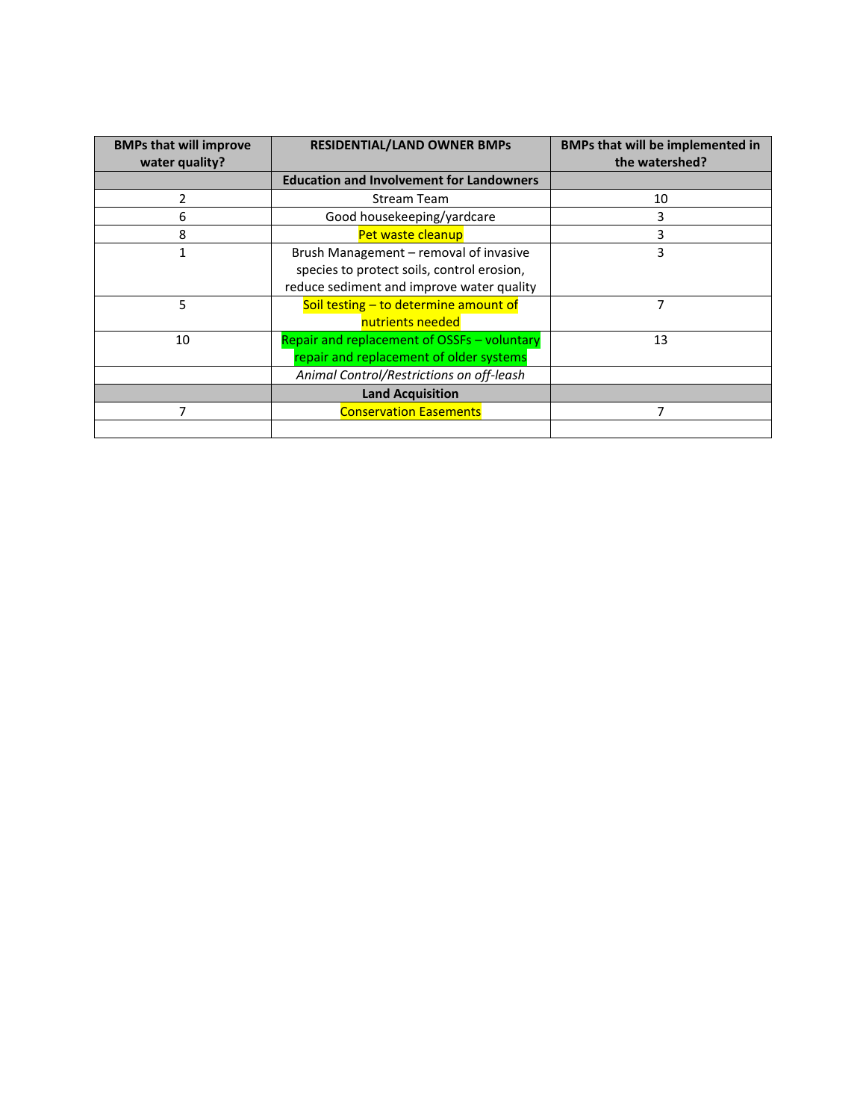| <b>BMPs that will improve</b><br>water quality? | <b>RESIDENTIAL/LAND OWNER BMPs</b>                                                                                                | <b>BMPs that will be implemented in</b><br>the watershed? |
|-------------------------------------------------|-----------------------------------------------------------------------------------------------------------------------------------|-----------------------------------------------------------|
|                                                 | <b>Education and Involvement for Landowners</b>                                                                                   |                                                           |
|                                                 | Stream Team                                                                                                                       | 10                                                        |
| 6                                               | Good housekeeping/yardcare                                                                                                        | 3                                                         |
| 8                                               | Pet waste cleanup                                                                                                                 | 3                                                         |
| 1                                               | Brush Management – removal of invasive<br>species to protect soils, control erosion,<br>reduce sediment and improve water quality | 3                                                         |
| 5                                               | Soil testing - to determine amount of<br>nutrients needed                                                                         | 7                                                         |
| 10                                              | Repair and replacement of OSSFs - voluntary<br>repair and replacement of older systems                                            | 13                                                        |
|                                                 | Animal Control/Restrictions on off-leash                                                                                          |                                                           |
|                                                 | <b>Land Acquisition</b>                                                                                                           |                                                           |
|                                                 | <b>Conservation Easements</b>                                                                                                     |                                                           |
|                                                 |                                                                                                                                   |                                                           |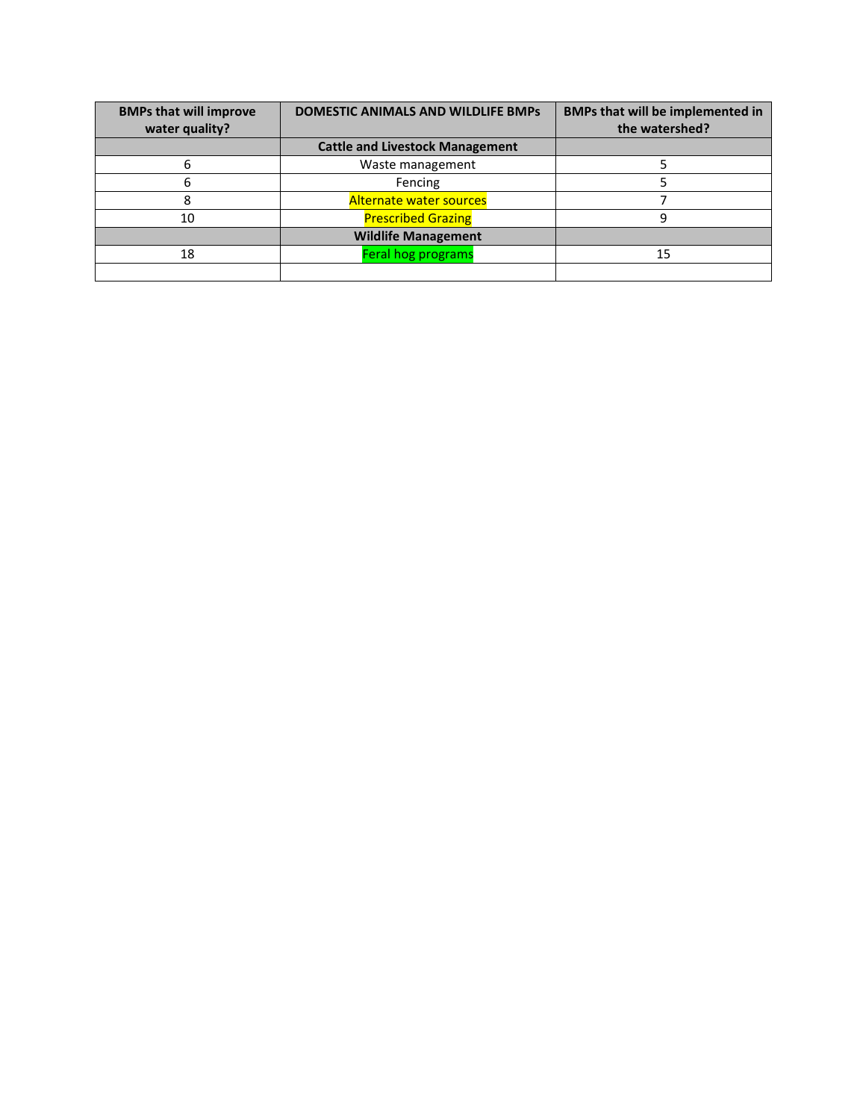| <b>BMPs that will improve</b><br>water quality? | <b>DOMESTIC ANIMALS AND WILDLIFE BMPs</b> | BMPs that will be implemented in<br>the watershed? |
|-------------------------------------------------|-------------------------------------------|----------------------------------------------------|
|                                                 | <b>Cattle and Livestock Management</b>    |                                                    |
|                                                 | Waste management                          |                                                    |
| 6                                               | Fencing                                   |                                                    |
|                                                 | <b>Alternate water sources</b>            |                                                    |
| 10                                              | <b>Prescribed Grazing</b>                 |                                                    |
|                                                 | <b>Wildlife Management</b>                |                                                    |
| 18                                              | Feral hog programs                        | 15                                                 |
|                                                 |                                           |                                                    |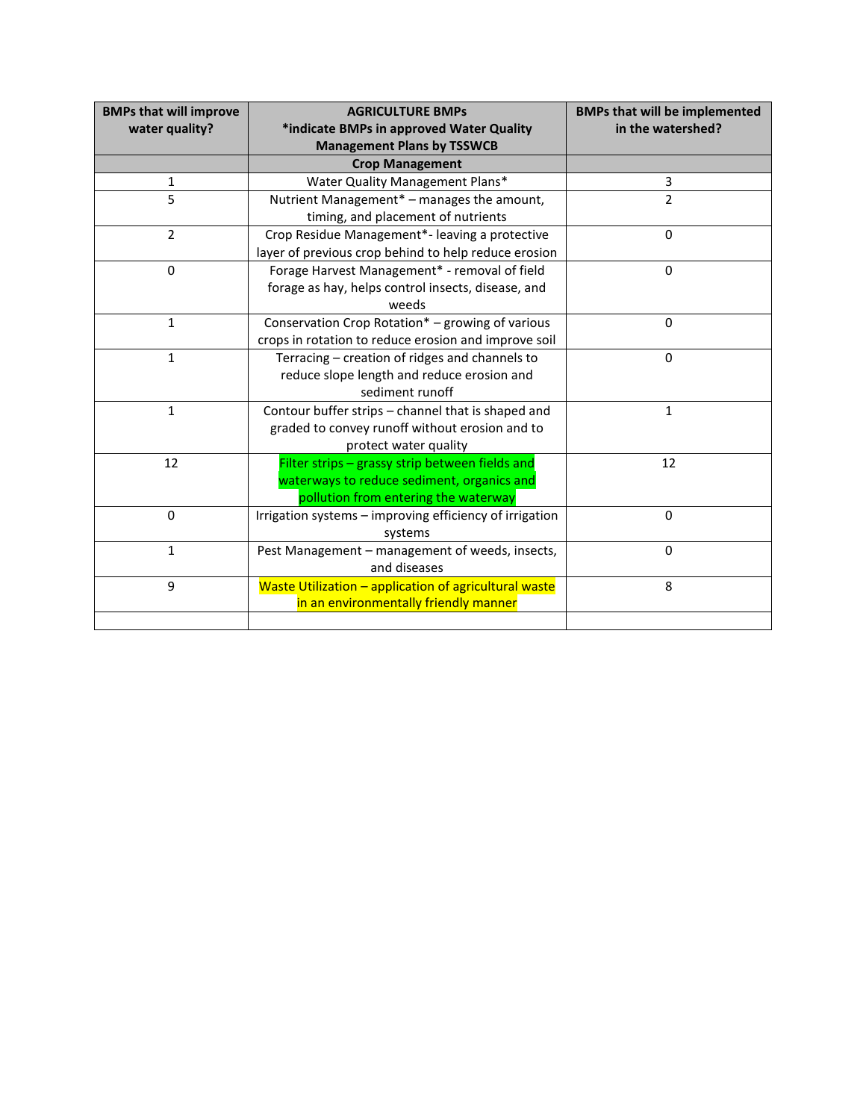| <b>BMPs that will improve</b> | <b>AGRICULTURE BMPs</b>                                 | <b>BMPs that will be implemented</b> |
|-------------------------------|---------------------------------------------------------|--------------------------------------|
| water quality?                | *indicate BMPs in approved Water Quality                | in the watershed?                    |
|                               | <b>Management Plans by TSSWCB</b>                       |                                      |
|                               | <b>Crop Management</b>                                  |                                      |
| 1                             | Water Quality Management Plans*                         | 3                                    |
| 5                             | Nutrient Management* - manages the amount,              | $\overline{2}$                       |
|                               | timing, and placement of nutrients                      |                                      |
| $\overline{2}$                | Crop Residue Management*- leaving a protective          | $\mathbf 0$                          |
|                               | layer of previous crop behind to help reduce erosion    |                                      |
| $\Omega$                      | Forage Harvest Management* - removal of field           | $\mathbf 0$                          |
|                               | forage as hay, helps control insects, disease, and      |                                      |
|                               | weeds                                                   |                                      |
| $\mathbf{1}$                  | Conservation Crop Rotation* - growing of various        | $\mathbf 0$                          |
|                               | crops in rotation to reduce erosion and improve soil    |                                      |
| $\mathbf{1}$                  | Terracing - creation of ridges and channels to          | $\mathbf 0$                          |
|                               | reduce slope length and reduce erosion and              |                                      |
|                               | sediment runoff                                         |                                      |
| $\mathbf{1}$                  | Contour buffer strips - channel that is shaped and      | $\mathbf{1}$                         |
|                               | graded to convey runoff without erosion and to          |                                      |
|                               | protect water quality                                   |                                      |
| 12                            | Filter strips - grassy strip between fields and         | 12                                   |
|                               | waterways to reduce sediment, organics and              |                                      |
|                               | pollution from entering the waterway                    |                                      |
| $\mathbf 0$                   | Irrigation systems - improving efficiency of irrigation | $\Omega$                             |
|                               | systems                                                 |                                      |
| $\mathbf{1}$                  | Pest Management - management of weeds, insects,         | $\Omega$                             |
|                               | and diseases                                            |                                      |
| 9                             | Waste Utilization - application of agricultural waste   | 8                                    |
|                               | in an environmentally friendly manner                   |                                      |
|                               |                                                         |                                      |